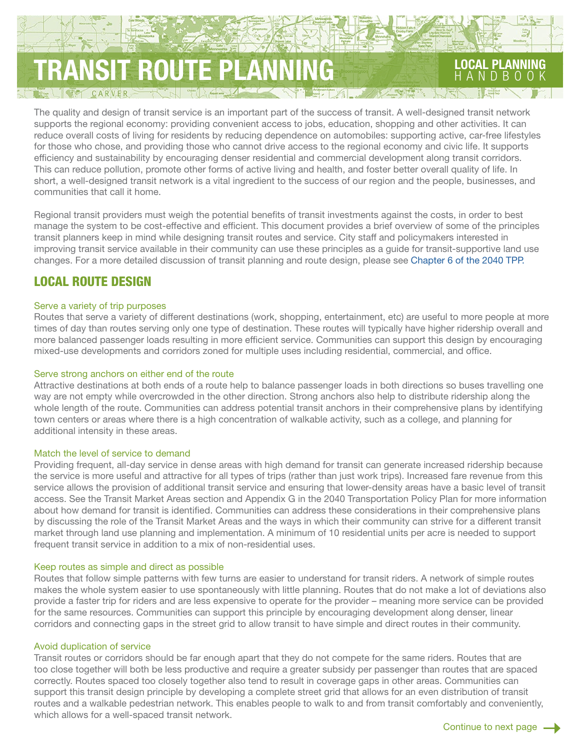# TRANSIT ROUTE PLANNING LOCAL PLANNING

CARVER

The quality and design of transit service is an important part of the success of transit. A well-designed transit network supports the regional economy: providing convenient access to jobs, education, shopping and other activities. It can reduce overall costs of living for residents by reducing dependence on automobiles: supporting active, car-free lifestyles for those who chose, and providing those who cannot drive access to the regional economy and civic life. It supports efficiency and sustainability by encouraging denser residential and commercial development along transit corridors. This can reduce pollution, promote other forms of active living and health, and foster better overall quality of life. In short, a well-designed transit network is a vital ingredient to the success of our region and the people, businesses, and communities that call it home.

Regional transit providers must weigh the potential benefits of transit investments against the costs, in order to best manage the system to be cost-effective and efficient. This document provides a brief overview of some of the principles transit planners keep in mind while designing transit routes and service. City staff and policymakers interested in improving transit service available in their community can use these principles as a guide for transit-supportive land use changes. For a more detailed discussion of transit planning and route design, please see [Chapter 6 of the 2040 TPP.](http://metrocouncil.org/METC/files/9b/9b3c48b6-46ca-4bd4-a49c-b565558fe5ec.pdf) 

## LOCAL ROUTE DESIGN

## Serve a variety of trip purposes

Routes that serve a variety of different destinations (work, shopping, entertainment, etc) are useful to more people at more times of day than routes serving only one type of destination. These routes will typically have higher ridership overall and more balanced passenger loads resulting in more efficient service. Communities can support this design by encouraging mixed-use developments and corridors zoned for multiple uses including residential, commercial, and office.

#### Serve strong anchors on either end of the route

Attractive destinations at both ends of a route help to balance passenger loads in both directions so buses travelling one way are not empty while overcrowded in the other direction. Strong anchors also help to distribute ridership along the whole length of the route. Communities can address potential transit anchors in their comprehensive plans by identifying town centers or areas where there is a high concentration of walkable activity, such as a college, and planning for additional intensity in these areas.

#### Match the level of service to demand

Providing frequent, all-day service in dense areas with high demand for transit can generate increased ridership because the service is more useful and attractive for all types of trips (rather than just work trips). Increased fare revenue from this service allows the provision of additional transit service and ensuring that lower-density areas have a basic level of transit access. See the Transit Market Areas section and Appendix G in the 2040 Transportation Policy Plan for more information about how demand for transit is identified. Communities can address these considerations in their comprehensive plans by discussing the role of the Transit Market Areas and the ways in which their community can strive for a different transit market through land use planning and implementation. A minimum of 10 residential units per acre is needed to support frequent transit service in addition to a mix of non-residential uses.

#### Keep routes as simple and direct as possible

Routes that follow simple patterns with few turns are easier to understand for transit riders. A network of simple routes makes the whole system easier to use spontaneously with little planning. Routes that do not make a lot of deviations also provide a faster trip for riders and are less expensive to operate for the provider – meaning more service can be provided for the same resources. Communities can support this principle by encouraging development along denser, linear corridors and connecting gaps in the street grid to allow transit to have simple and direct routes in their community.

#### Avoid duplication of service

Transit routes or corridors should be far enough apart that they do not compete for the same riders. Routes that are too close together will both be less productive and require a greater subsidy per passenger than routes that are spaced correctly. Routes spaced too closely together also tend to result in coverage gaps in other areas. Communities can support this transit design principle by developing a complete street grid that allows for an even distribution of transit routes and a walkable pedestrian network. This enables people to walk to and from transit comfortably and conveniently, which allows for a well-spaced transit network.

HANDBOOK